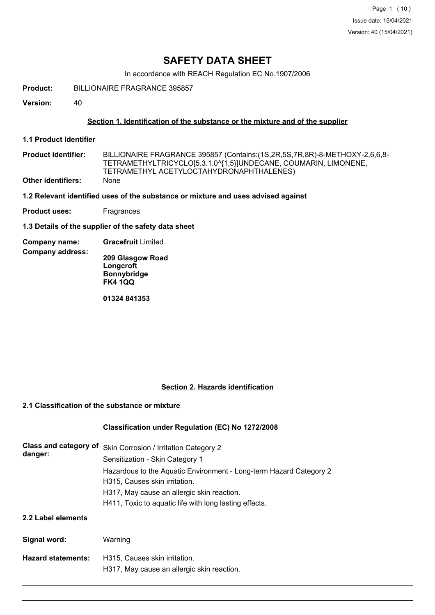In accordance with REACH Regulation EC No.1907/2006

**Product:** BILLIONAIRE FRAGRANCE 395857

**Version:** 40

### **Section 1. Identification of the substance or the mixture and of the supplier**

**1.1 Product Identifier**

BILLIONAIRE FRAGRANCE 395857 (Contains:(1S,2R,5S,7R,8R)-8-METHOXY-2,6,6,8- TETRAMETHYLTRICYCLO[5.3.1.0^{1,5}]UNDECANE, COUMARIN, LIMONENE, TETRAMETHYL ACETYLOCTAHYDRONAPHTHALENES) **Product identifier: Other identifiers:** None

**1.2 Relevant identified uses of the substance or mixture and uses advised against**

**Product uses:** Fragrances

**1.3 Details of the supplier of the safety data sheet**

**Company name: Gracefruit** Limited

**Company address: 209 Glasgow Road Longcroft Bonnybridge FK4 1QQ**

**01324 841353**

### **Section 2. Hazards identification**

### **2.1 Classification of the substance or mixture**

## **Classification under Regulation (EC) No 1272/2008**

| Class and category of<br>danger: | Skin Corrosion / Irritation Category 2<br>Sensitization - Skin Category 1                           |
|----------------------------------|-----------------------------------------------------------------------------------------------------|
|                                  | Hazardous to the Aquatic Environment - Long-term Hazard Category 2<br>H315, Causes skin irritation. |
|                                  | H317, May cause an allergic skin reaction.                                                          |
|                                  | H411, Toxic to aguatic life with long lasting effects.                                              |
| 2.2 Label elements               |                                                                                                     |
| Signal word:                     | Warning                                                                                             |
| <b>Hazard statements:</b>        | H315, Causes skin irritation.<br>H317, May cause an allergic skin reaction.                         |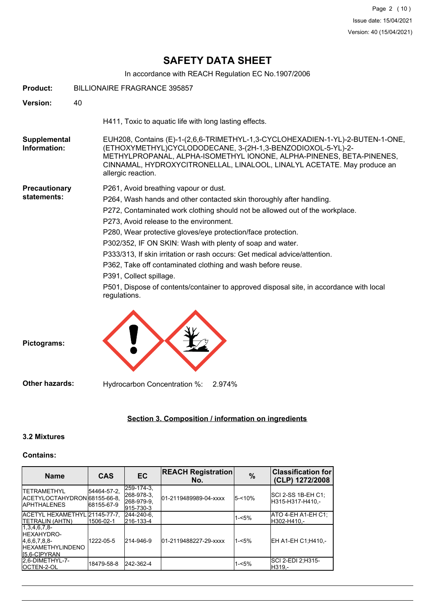In accordance with REACH Regulation EC No.1907/2006

| <b>Product:</b>                     | <b>BILLIONAIRE FRAGRANCE 395857</b> |                                                                                                                                                                                                                                                                                                                                                                                                                                                                                                                                                                                                                                                          |  |
|-------------------------------------|-------------------------------------|----------------------------------------------------------------------------------------------------------------------------------------------------------------------------------------------------------------------------------------------------------------------------------------------------------------------------------------------------------------------------------------------------------------------------------------------------------------------------------------------------------------------------------------------------------------------------------------------------------------------------------------------------------|--|
| Version:                            | 40                                  |                                                                                                                                                                                                                                                                                                                                                                                                                                                                                                                                                                                                                                                          |  |
|                                     |                                     | H411, Toxic to aquatic life with long lasting effects.                                                                                                                                                                                                                                                                                                                                                                                                                                                                                                                                                                                                   |  |
| Supplemental<br>Information:        |                                     | EUH208, Contains (E)-1-(2,6,6-TRIMETHYL-1,3-CYCLOHEXADIEN-1-YL)-2-BUTEN-1-ONE,<br>(ETHOXYMETHYL)CYCLODODECANE, 3-(2H-1,3-BENZODIOXOL-5-YL)-2-<br>METHYLPROPANAL, ALPHA-ISOMETHYL IONONE, ALPHA-PINENES, BETA-PINENES,<br>CINNAMAL, HYDROXYCITRONELLAL, LINALOOL, LINALYL ACETATE. May produce an<br>allergic reaction.                                                                                                                                                                                                                                                                                                                                   |  |
| <b>Precautionary</b><br>statements: |                                     | P261, Avoid breathing vapour or dust.<br>P264, Wash hands and other contacted skin thoroughly after handling.<br>P272, Contaminated work clothing should not be allowed out of the workplace.<br>P273, Avoid release to the environment.<br>P280, Wear protective gloves/eye protection/face protection.<br>P302/352, IF ON SKIN: Wash with plenty of soap and water.<br>P333/313, If skin irritation or rash occurs: Get medical advice/attention.<br>P362, Take off contaminated clothing and wash before reuse.<br>P391, Collect spillage.<br>P501, Dispose of contents/container to approved disposal site, in accordance with local<br>regulations. |  |
| Pictograms:                         |                                     |                                                                                                                                                                                                                                                                                                                                                                                                                                                                                                                                                                                                                                                          |  |
| <b>Other hazards:</b>               |                                     | Hydrocarbon Concentration %:<br>2.974%                                                                                                                                                                                                                                                                                                                                                                                                                                                                                                                                                                                                                   |  |

## **Section 3. Composition / information on ingredients**

## **3.2 Mixtures**

### **Contains:**

| <b>Name</b>                                                                                        | <b>CAS</b>                | <b>EC</b>                                           | <b>REACH Registration</b><br>No. | $\frac{0}{0}$ | <b>Classification for</b><br>(CLP) 1272/2008   |
|----------------------------------------------------------------------------------------------------|---------------------------|-----------------------------------------------------|----------------------------------|---------------|------------------------------------------------|
| <b>ITETRAMETHYL</b><br>IACETYLOCTAHYDRONI68155-66-8.<br><b>IAPHTHALENES</b>                        | 54464-57-2.<br>68155-67-9 | 259-174-3.<br>268-978-3.<br>268-979-9.<br>915-730-3 | 01-2119489989-04-xxxx            | 5-<10%        | <b>SCI 2-SS 1B-EH C1:</b><br>IH315-H317-H410.- |
| ACETYL HEXAMETHYL 21145-77-7.<br><b>ITETRALIN (AHTN)</b>                                           | 1506-02-1                 | 244-240-6.<br>216-133-4                             |                                  | $1 - 5%$      | ATO 4-EH A1-EH C1;<br>H302-H410.-              |
| $1,3,4,6,7,8$ -<br><b>IHEXAHYDRO-</b><br>[4,6,6,7,8,8]<br><b>IHEXAMETHYLINDENO</b><br>IS.6-CIPYRAN | 1222-05-5                 | 214-946-9                                           | 01-2119488227-29-xxxx            | $1 - 5%$      | EH A1-EH C1:H410 .-                            |
| 2.6-DIMETHYL-7-<br><b>IOCTEN-2-OL</b>                                                              | 18479-58-8                | 242-362-4                                           |                                  | $1 - 5%$      | SCI 2-EDI 2:H315-<br>H319.-                    |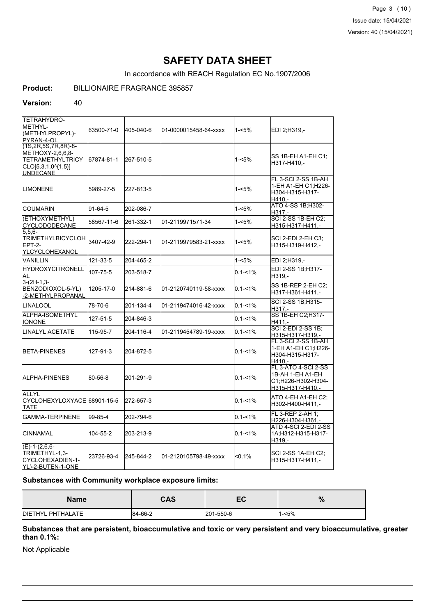Page 3 (10) Issue date: 15/04/2021 Version: 40 (15/04/2021)

## **SAFETY DATA SHEET**

In accordance with REACH Regulation EC No.1907/2006

## **Product:** BILLIONAIRE FRAGRANCE 395857

#### **Version:** 40

| <b>TETRAHYDRO-</b><br>IMETHYL-<br>(METHYLPROPYL)-<br>PYRAN-4-OL                                                 | 63500-71-0 | 405-040-6 | l01-0000015458-64-xxxx | 1-<5%       | EDI 2;H319,-                                                                             |
|-----------------------------------------------------------------------------------------------------------------|------------|-----------|------------------------|-------------|------------------------------------------------------------------------------------------|
| (1S, 2R, 5S, 7R, 8R)-8-<br>METHOXY-2,6,6,8-<br><b>TETRAMETHYLTRICY</b><br>CLO[5.3.1.0^{1,5}]<br><b>UNDECANE</b> | 67874-81-1 | 267-510-5 |                        | $1 - 5%$    | SS 1B-EH A1-EH C1;<br>H317-H410.-                                                        |
| ILIMONENE                                                                                                       | 5989-27-5  | 227-813-5 |                        | 1-<5%       | FL 3-SCI 2-SS 1B-AH<br>1-EH A1-EH C1;H226-<br>H304-H315-H317-<br>H410.-                  |
| ICOUMARIN                                                                                                       | 91-64-5    | 202-086-7 |                        | 1-<5%       | ATO 4-SS 1B;H302-<br>H317.-                                                              |
| (ETHOXYMETHYL)<br><b>CYCLODODECANE</b>                                                                          | 58567-11-6 | 261-332-1 | 01-2119971571-34       | 1-<5%       | SCI 2-SS 1B-EH C2:<br>H315-H317-H411,-                                                   |
| 5.5.6-<br>TRIMETHYLBICYCLOH 3407-42-9<br>EPT-2-<br>YLCYCLOHEXANOL                                               |            | 222-294-1 | l01-2119979583-21-xxxx | 1-<5%       | <b>SCI 2-EDI 2-EH C3:</b><br>H315-H319-H412,-                                            |
| <b>VANILLIN</b>                                                                                                 | 121-33-5   | 204-465-2 |                        | $1 - 5%$    | EDI 2;H319,-                                                                             |
| <b>HYDROXYCITRONELL</b><br>AI                                                                                   | 107-75-5   | 203-518-7 |                        | $0.1 - 1%$  | EDI 2-SS 1B;H317-<br>H319,-                                                              |
| $3-(2H-1,3-$<br>BENZODIOXOL-5-YL)<br>-2-METHYLPROPANAL                                                          | 1205-17-0  | 214-881-6 | 01-2120740119-58-xxxx  | $0.1 - 1\%$ | SS 1B-REP 2-EH C2:<br>H317-H361-H411,-                                                   |
| <b>LINALOOL</b>                                                                                                 | 78-70-6    | 201-134-4 | 01-2119474016-42-xxxx  | $0.1 - 1%$  | SCI 2-SS 1B:H315-<br>$H317 -$                                                            |
| <b>ALPHA-ISOMETHYL</b><br>IONONE                                                                                | 127-51-5   | 204-846-3 |                        | $0.1 - 1\%$ | SS 1B-EH C2; H317-<br>H411,-                                                             |
| LINALYL ACETATE                                                                                                 | 115-95-7   | 204-116-4 | 01-2119454789-19-xxxx  | $0.1 - 1\%$ | <b>SCI 2-EDI 2-SS 1B:</b><br>H315-H317-H319,-                                            |
| <b>I</b> BETA-PINENES                                                                                           | 127-91-3   | 204-872-5 |                        | $0.1 - 1\%$ | FL 3-SCI 2-SS 1B-AH<br>1-EH A1-EH C1;H226-<br>H304-H315-H317-<br>H410.-                  |
| IALPHA-PINENES                                                                                                  | 80-56-8    | 201-291-9 |                        | $0.1 - 1\%$ | <b>FL 3-ATO 4-SCI 2-SS</b><br>1B-AH 1-EH A1-EH<br>C1:H226-H302-H304-<br>H315-H317-H410,- |
| <b>ALLYL</b><br>ICYCLOHEXYLOXYACE l68901-15-5<br>TATE                                                           |            | 272-657-3 |                        | $0.1 - 1\%$ | ATO 4-EH A1-EH C2:<br>H302-H400-H411,-                                                   |
| IGAMMA-TERPINENE                                                                                                | 99-85-4    | 202-794-6 |                        | $0.1 - 1\%$ | FL 3-REP 2-AH 1:<br>H226-H304-H361,-                                                     |
| <b>CINNAMAL</b>                                                                                                 | 104-55-2   | 203-213-9 |                        | $0.1 - 1\%$ | ATD 4-SCI 2-EDI 2-SS<br>1A;H312-H315-H317-<br>H319.-                                     |
| $(E)-1-(2,6,6-$<br>TRIMETHYL-1,3-<br>ICYCLOHEXADIEN-1-<br>YL)-2-BUTEN-1-ONE                                     | 23726-93-4 | 245-844-2 | l01-2120105798-49-xxxx | <0.1%       | <b>SCI 2-SS 1A-EH C2:</b><br>H315-H317-H411,-                                            |

#### **Substances with Community workplace exposure limits:**

| <b>Name</b>               | <b>CAS</b> | -0<br>╌   | $\Omega$<br>70 |
|---------------------------|------------|-----------|----------------|
| <b>IDIETHYL PHTHALATE</b> | 84-66-2    | 201-550-6 | $-5%$          |

**Substances that are persistent, bioaccumulative and toxic or very persistent and very bioaccumulative, greater than 0.1%:**

Not Applicable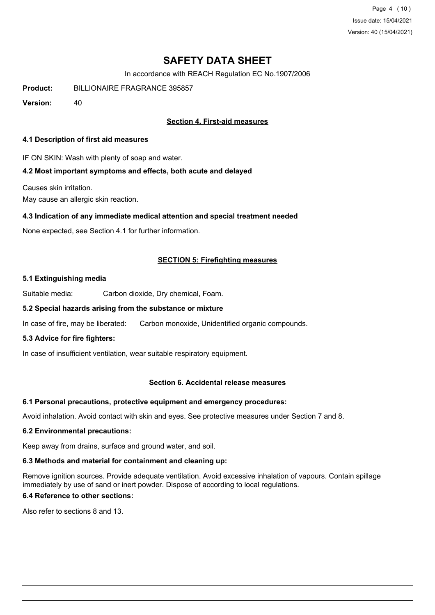Page 4 (10) Issue date: 15/04/2021 Version: 40 (15/04/2021)

## **SAFETY DATA SHEET**

In accordance with REACH Regulation EC No.1907/2006

**Product:** BILLIONAIRE FRAGRANCE 395857

**Version:** 40

### **Section 4. First-aid measures**

#### **4.1 Description of first aid measures**

IF ON SKIN: Wash with plenty of soap and water.

### **4.2 Most important symptoms and effects, both acute and delayed**

Causes skin irritation.

May cause an allergic skin reaction.

### **4.3 Indication of any immediate medical attention and special treatment needed**

None expected, see Section 4.1 for further information.

### **SECTION 5: Firefighting measures**

### **5.1 Extinguishing media**

Suitable media: Carbon dioxide, Dry chemical, Foam.

## **5.2 Special hazards arising from the substance or mixture**

In case of fire, may be liberated: Carbon monoxide, Unidentified organic compounds.

### **5.3 Advice for fire fighters:**

In case of insufficient ventilation, wear suitable respiratory equipment.

### **Section 6. Accidental release measures**

### **6.1 Personal precautions, protective equipment and emergency procedures:**

Avoid inhalation. Avoid contact with skin and eyes. See protective measures under Section 7 and 8.

### **6.2 Environmental precautions:**

Keep away from drains, surface and ground water, and soil.

### **6.3 Methods and material for containment and cleaning up:**

Remove ignition sources. Provide adequate ventilation. Avoid excessive inhalation of vapours. Contain spillage immediately by use of sand or inert powder. Dispose of according to local regulations.

## **6.4 Reference to other sections:**

Also refer to sections 8 and 13.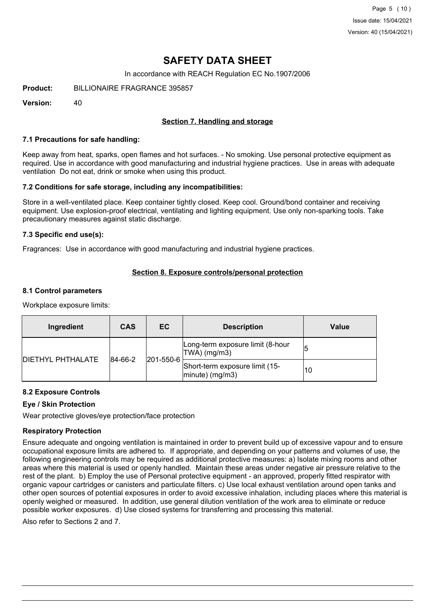In accordance with REACH Regulation EC No.1907/2006

**Product:** BILLIONAIRE FRAGRANCE 395857

**Version:** 40

### **Section 7. Handling and storage**

#### **7.1 Precautions for safe handling:**

Keep away from heat, sparks, open flames and hot surfaces. - No smoking. Use personal protective equipment as required. Use in accordance with good manufacturing and industrial hygiene practices. Use in areas with adequate ventilation Do not eat, drink or smoke when using this product.

### **7.2 Conditions for safe storage, including any incompatibilities:**

Store in a well-ventilated place. Keep container tightly closed. Keep cool. Ground/bond container and receiving equipment. Use explosion-proof electrical, ventilating and lighting equipment. Use only non-sparking tools. Take precautionary measures against static discharge.

### **7.3 Specific end use(s):**

Fragrances: Use in accordance with good manufacturing and industrial hygiene practices.

### **Section 8. Exposure controls/personal protection**

### **8.1 Control parameters**

Workplace exposure limits:

| Ingredient                | <b>CAS</b>                   | <b>EC</b>                                             | <b>Description</b>                               | Value |
|---------------------------|------------------------------|-------------------------------------------------------|--------------------------------------------------|-------|
| <b>IDIETHYL PHTHALATE</b> | $ 201 - 550 - 6 $<br>84-66-2 |                                                       | Long-term exposure limit (8-hour<br>TWA) (mg/m3) |       |
|                           |                              | Short-term exposure limit (15-<br>$ $ minute) (mg/m3) | 10                                               |       |

### **8.2 Exposure Controls**

### **Eye / Skin Protection**

Wear protective gloves/eye protection/face protection

### **Respiratory Protection**

Ensure adequate and ongoing ventilation is maintained in order to prevent build up of excessive vapour and to ensure occupational exposure limits are adhered to. If appropriate, and depending on your patterns and volumes of use, the following engineering controls may be required as additional protective measures: a) Isolate mixing rooms and other areas where this material is used or openly handled. Maintain these areas under negative air pressure relative to the rest of the plant. b) Employ the use of Personal protective equipment - an approved, properly fitted respirator with organic vapour cartridges or canisters and particulate filters. c) Use local exhaust ventilation around open tanks and other open sources of potential exposures in order to avoid excessive inhalation, including places where this material is openly weighed or measured. In addition, use general dilution ventilation of the work area to eliminate or reduce possible worker exposures. d) Use closed systems for transferring and processing this material.

Also refer to Sections 2 and 7.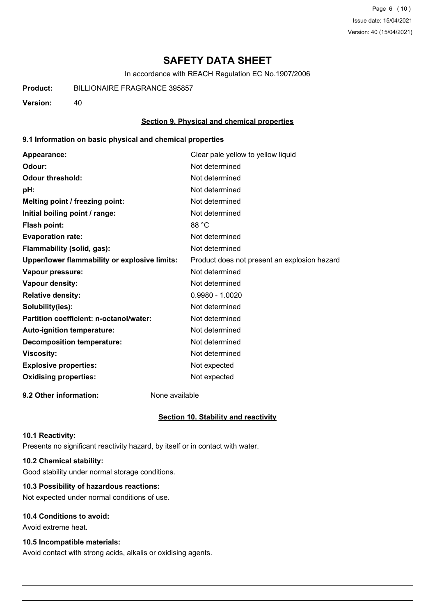Page 6 (10) Issue date: 15/04/2021 Version: 40 (15/04/2021)

## **SAFETY DATA SHEET**

In accordance with REACH Regulation EC No.1907/2006

**Product:** BILLIONAIRE FRAGRANCE 395857

**Version:** 40

### **Section 9. Physical and chemical properties**

### **9.1 Information on basic physical and chemical properties**

| Appearance:                                   | Clear pale yellow to yellow liquid           |
|-----------------------------------------------|----------------------------------------------|
| Odour:                                        | Not determined                               |
| <b>Odour threshold:</b>                       | Not determined                               |
| pH:                                           | Not determined                               |
| Melting point / freezing point:               | Not determined                               |
| Initial boiling point / range:                | Not determined                               |
| <b>Flash point:</b>                           | 88 °C                                        |
| <b>Evaporation rate:</b>                      | Not determined                               |
| Flammability (solid, gas):                    | Not determined                               |
| Upper/lower flammability or explosive limits: | Product does not present an explosion hazard |
| Vapour pressure:                              | Not determined                               |
| Vapour density:                               | Not determined                               |
| <b>Relative density:</b>                      | $0.9980 - 1.0020$                            |
| Solubility(ies):                              | Not determined                               |
| Partition coefficient: n-octanol/water:       | Not determined                               |
| Auto-ignition temperature:                    | Not determined                               |
| <b>Decomposition temperature:</b>             | Not determined                               |
| <b>Viscosity:</b>                             | Not determined                               |
| <b>Explosive properties:</b>                  | Not expected                                 |
| <b>Oxidising properties:</b>                  | Not expected                                 |
|                                               |                                              |

**9.2 Other information:** None available

### **Section 10. Stability and reactivity**

#### **10.1 Reactivity:**

Presents no significant reactivity hazard, by itself or in contact with water.

## **10.2 Chemical stability:**

Good stability under normal storage conditions.

## **10.3 Possibility of hazardous reactions:**

Not expected under normal conditions of use.

### **10.4 Conditions to avoid:**

Avoid extreme heat.

### **10.5 Incompatible materials:**

Avoid contact with strong acids, alkalis or oxidising agents.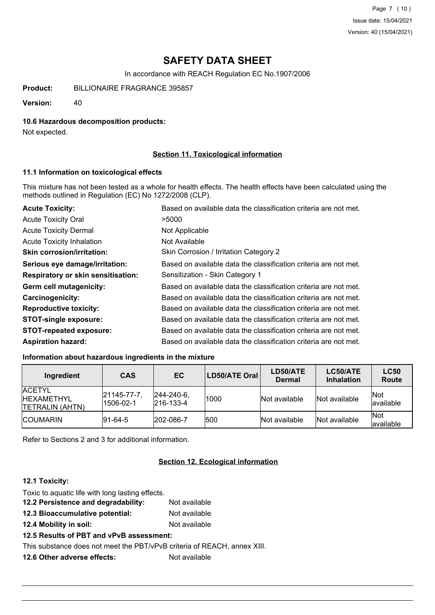In accordance with REACH Regulation EC No.1907/2006

**Product:** BILLIONAIRE FRAGRANCE 395857

**Version:** 40

### **10.6 Hazardous decomposition products:**

Not expected.

### **Section 11. Toxicological information**

#### **11.1 Information on toxicological effects**

This mixture has not been tested as a whole for health effects. The health effects have been calculated using the methods outlined in Regulation (EC) No 1272/2008 (CLP).

| <b>Acute Toxicity:</b>                    | Based on available data the classification criteria are not met. |
|-------------------------------------------|------------------------------------------------------------------|
| <b>Acute Toxicity Oral</b>                | >5000                                                            |
| <b>Acute Toxicity Dermal</b>              | Not Applicable                                                   |
| <b>Acute Toxicity Inhalation</b>          | Not Available                                                    |
| <b>Skin corrosion/irritation:</b>         | Skin Corrosion / Irritation Category 2                           |
| Serious eye damage/irritation:            | Based on available data the classification criteria are not met. |
| <b>Respiratory or skin sensitisation:</b> | Sensitization - Skin Category 1                                  |
| Germ cell mutagenicity:                   | Based on available data the classification criteria are not met. |
| <b>Carcinogenicity:</b>                   | Based on available data the classification criteria are not met. |
| <b>Reproductive toxicity:</b>             | Based on available data the classification criteria are not met. |
| <b>STOT-single exposure:</b>              | Based on available data the classification criteria are not met. |
| <b>STOT-repeated exposure:</b>            | Based on available data the classification criteria are not met. |
| <b>Aspiration hazard:</b>                 | Based on available data the classification criteria are not met. |

### **Information about hazardous ingredients in the mixture**

| Ingredient                                                    | <b>CAS</b>                      | EC                                     | LD50/ATE Oral | LD50/ATE<br><b>Dermal</b> | LC50/ATE<br><b>Inhalation</b> | <b>LC50</b><br>Route |
|---------------------------------------------------------------|---------------------------------|----------------------------------------|---------------|---------------------------|-------------------------------|----------------------|
| <b>ACETYL</b><br><b>IHEXAMETHYL</b><br><b>TETRALIN (AHTN)</b> | $ 21145 - 77 - 7 $<br>1506-02-1 | $ 244 - 240 - 6 $<br>$ 216 - 133 - 4 $ | 1000          | Not available             | Not available                 | Not<br>lavailable    |
| <b>ICOUMARIN</b>                                              | $ 91 - 64 - 5 $                 | 202-086-7                              | 1500          | Not available             | Not available                 | Not<br>available     |

Refer to Sections 2 and 3 for additional information.

### **Section 12. Ecological information**

### **12.1 Toxicity:**

| Not available                                                            |  |  |  |
|--------------------------------------------------------------------------|--|--|--|
| Not available                                                            |  |  |  |
| Not available                                                            |  |  |  |
| 12.5 Results of PBT and vPvB assessment:                                 |  |  |  |
| This substance does not meet the PBT/vPvB criteria of REACH, annex XIII. |  |  |  |
|                                                                          |  |  |  |

**12.6 Other adverse effects:** Not available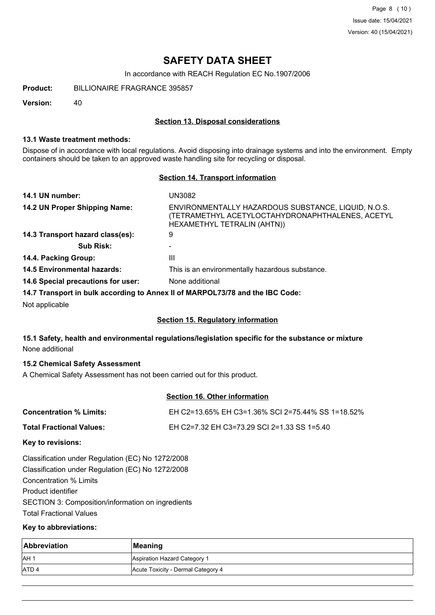Page 8 (10) Issue date: 15/04/2021 Version: 40 (15/04/2021)

## **SAFETY DATA SHEET**

In accordance with REACH Regulation EC No.1907/2006

**Product:** BILLIONAIRE FRAGRANCE 395857

**Version:** 40

### **Section 13. Disposal considerations**

### **13.1 Waste treatment methods:**

Dispose of in accordance with local regulations. Avoid disposing into drainage systems and into the environment. Empty containers should be taken to an approved waste handling site for recycling or disposal.

### **Section 14. Transport information**

| 14.1 UN number:                    | UN3082                                                                                                                                 |
|------------------------------------|----------------------------------------------------------------------------------------------------------------------------------------|
| 14.2 UN Proper Shipping Name:      | ENVIRONMENTALLY HAZARDOUS SUBSTANCE, LIQUID, N.O.S.<br>(TETRAMETHYL ACETYLOCTAHYDRONAPHTHALENES, ACETYL<br>HEXAMETHYL TETRALIN (AHTN)) |
| 14.3 Transport hazard class(es):   | 9                                                                                                                                      |
| <b>Sub Risk:</b>                   |                                                                                                                                        |
| 14.4. Packing Group:               | Ш                                                                                                                                      |
| <b>14.5 Environmental hazards:</b> | This is an environmentally hazardous substance.                                                                                        |
| 14.6 Special precautions for user: | None additional                                                                                                                        |
|                                    | 14.7 Transport in bulk according to Annex II of MARPOL73/78 and the IBC Code:                                                          |
| Not applicable                     |                                                                                                                                        |

### **Section 15. Regulatory information**

### **15.1 Safety, health and environmental regulations/legislation specific for the substance or mixture** None additional

### **15.2 Chemical Safety Assessment**

A Chemical Safety Assessment has not been carried out for this product.

## **Section 16. Other information**

| <b>Concentration % Limits:</b> | EH C2=13.65% EH C3=1.36% SCI 2=75.44% SS 1=18.52% |
|--------------------------------|---------------------------------------------------|
| Total Fractional Values:       | EH C2=7.32 EH C3=73.29 SCI 2=1.33 SS 1=5.40       |

### **Key to revisions:**

Classification under Regulation (EC) No 1272/2008 Classification under Regulation (EC) No 1272/2008 Concentration % Limits Product identifier SECTION 3: Composition/information on ingredients Total Fractional Values

### **Key to abbreviations:**

| <b>Abbreviation</b> | <b>Meaning</b>                     |
|---------------------|------------------------------------|
| AH <sup>1</sup>     | Aspiration Hazard Category 1       |
| <b>ATD4</b>         | Acute Toxicity - Dermal Category 4 |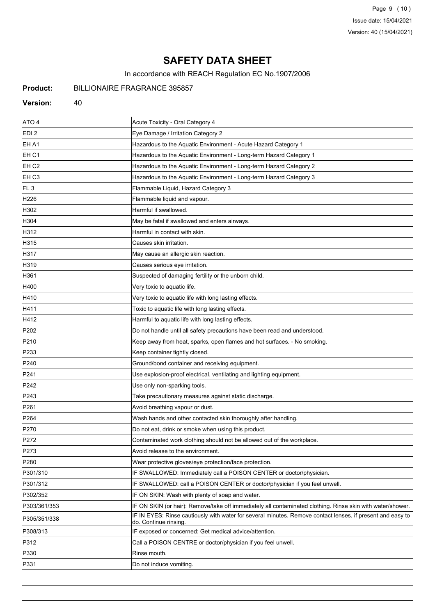Page 9 (10) Issue date: 15/04/2021 Version: 40 (15/04/2021)

# **SAFETY DATA SHEET**

In accordance with REACH Regulation EC No.1907/2006

## **Product:** BILLIONAIRE FRAGRANCE 395857

#### Version: 40

| ATO 4            | Acute Toxicity - Oral Category 4                                                                                                    |
|------------------|-------------------------------------------------------------------------------------------------------------------------------------|
| EDI <sub>2</sub> | Eye Damage / Irritation Category 2                                                                                                  |
| EH A1            | Hazardous to the Aquatic Environment - Acute Hazard Category 1                                                                      |
| EH C1            | Hazardous to the Aquatic Environment - Long-term Hazard Category 1                                                                  |
| EH <sub>C2</sub> | Hazardous to the Aquatic Environment - Long-term Hazard Category 2                                                                  |
| EH <sub>C3</sub> | Hazardous to the Aquatic Environment - Long-term Hazard Category 3                                                                  |
| FL <sub>3</sub>  | Flammable Liquid, Hazard Category 3                                                                                                 |
| H226             | Flammable liquid and vapour.                                                                                                        |
| H302             | Harmful if swallowed.                                                                                                               |
| H304             | May be fatal if swallowed and enters airways.                                                                                       |
| H312             | Harmful in contact with skin.                                                                                                       |
| H315             | Causes skin irritation.                                                                                                             |
| H317             | May cause an allergic skin reaction.                                                                                                |
| H319             | Causes serious eye irritation.                                                                                                      |
| H361             | Suspected of damaging fertility or the unborn child.                                                                                |
| H400             | Very toxic to aquatic life.                                                                                                         |
| H410             | Very toxic to aquatic life with long lasting effects.                                                                               |
| H411             | Toxic to aquatic life with long lasting effects.                                                                                    |
| H412             | Harmful to aquatic life with long lasting effects.                                                                                  |
| P202             | Do not handle until all safety precautions have been read and understood.                                                           |
| P210             | Keep away from heat, sparks, open flames and hot surfaces. - No smoking.                                                            |
| P233             | Keep container tightly closed.                                                                                                      |
| P240             | Ground/bond container and receiving equipment.                                                                                      |
| P241             | Use explosion-proof electrical, ventilating and lighting equipment.                                                                 |
| P <sub>242</sub> | Use only non-sparking tools.                                                                                                        |
| P243             | Take precautionary measures against static discharge.                                                                               |
| P261             | Avoid breathing vapour or dust.                                                                                                     |
| P <sub>264</sub> | Wash hands and other contacted skin thoroughly after handling.                                                                      |
| P270             | Do not eat, drink or smoke when using this product.                                                                                 |
| P272             | Contaminated work clothing should not be allowed out of the workplace.                                                              |
| P273             | Avoid release to the environment.                                                                                                   |
| P280             | Wear protective gloves/eye protection/face protection.                                                                              |
| P301/310         | IF SWALLOWED: Immediately call a POISON CENTER or doctor/physician.                                                                 |
| P301/312         | IF SWALLOWED: call a POISON CENTER or doctor/physician if you feel unwell.                                                          |
| P302/352         | IF ON SKIN: Wash with plenty of soap and water.                                                                                     |
| P303/361/353     | IF ON SKIN (or hair): Remove/take off immediately all contaminated clothing. Rinse skin with water/shower.                          |
| P305/351/338     | IF IN EYES: Rinse cautiously with water for several minutes. Remove contact lenses, if present and easy to<br>do. Continue rinsing. |
| P308/313         | IF exposed or concerned: Get medical advice/attention.                                                                              |
| P312             | Call a POISON CENTRE or doctor/physician if you feel unwell.                                                                        |
| P330             | Rinse mouth.                                                                                                                        |
| P331             | Do not induce vomiting.                                                                                                             |
|                  |                                                                                                                                     |